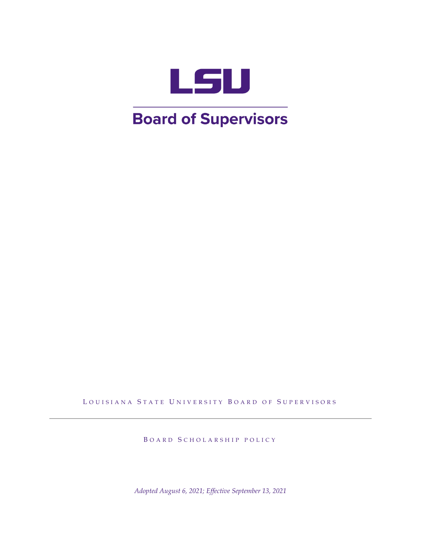

# **Board of Supervisors**

LOUISIANA STATE UNIVERSITY BOARD OF SUPERVISORS

BOARD SCHOLARSHIP POLICY

*Adopted August 6, 2021; Effective September 13, 2021*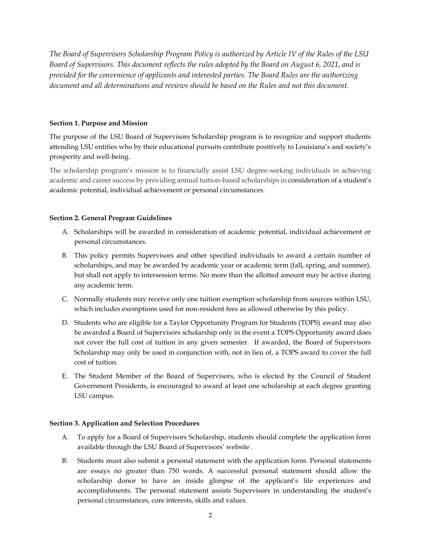*The Board of Supervisors Scholarship Program Policy is authorized by Article IV of the Rules of the LSU Board of Supervisors. This document reflects the rules adopted by the Board on August 6, 2021, and is provided for the convenience of applicants and interested parties. The Board Rules are the authorizing document and all determinations and reviews should be based on the Rules and not this document.*

### **Section 1. Purpose and Mission**

The purpose of the LSU Board of Supervisors Scholarship program is to recognize and support students attending LSU entities who by their educational pursuits contribute positively to Louisiana's and society's prosperity and well-being.

The scholarship program's mission is to financially assist LSU degree-seeking individuals in achieving academic and career success by providing annual tuition-based scholarships in consideration of a student's academic potential, individual achievement or personal circumstances.

## **Section 2. General Program Guidelines**

- A. Scholarships will be awarded in consideration of academic potential, individual achievement or personal circumstances.
- B. This policy permits Supervisors and other specified individuals to award a certain number of scholarships, and may be awarded by academic year or academic term (fall, spring, and summer), but shall not apply to intersession terms. No more than the allotted amount may be active during any academic term.
- C. Normally students may receive only one tuition exemption scholarship from sources within LSU, which includes exemptions used for non-resident fees as allowed otherwise by this policy.
- D. Students who are eligible for a Taylor Opportunity Program for Students (TOPS) award may also be awarded a Board of Supervisors scholarship only in the event a TOPS Opportunity award does not cover the full cost of tuition in any given semester. If awarded, the Board of Supervisors Scholarship may only be used in conjunction with, not in lieu of, a TOPS award to cover the full cost of tuition.
- E. The Student Member of the Board of Supervisors, who is elected by the Council of Student Government Presidents, is encouraged to award at least one scholarship at each degree granting LSU campus.

## **Section 3. Application and Selection Procedures**

- A. To apply for a Board of Supervisors Scholarship, students should complete the application form available through the LSU Board of Supervisors' website .
- B. Students must also submit a personal statement with the application form. Personal statements are essays no greater than 750 words. A successful personal statement should allow the scholarship donor to have an inside glimpse of the applicant's life experiences and accomplishments. The personal statement assists Supervisors in understanding the student's personal circumstances, core interests, skills and values.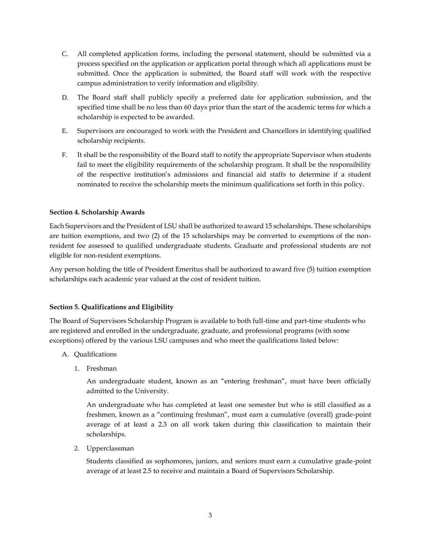- C. All completed application forms, including the personal statement, should be submitted via a process specified on the application or application portal through which all applications must be submitted. Once the application is submitted, the Board staff will work with the respective campus administration to verify information and eligibility.
- D. The Board staff shall publicly specify a preferred date for application submission, and the specified time shall be no less than 60 days prior than the start of the academic terms for which a scholarship is expected to be awarded.
- E. Supervisors are encouraged to work with the President and Chancellors in identifying qualified scholarship recipients.
- F. It shall be the responsibility of the Board staff to notify the appropriate Supervisor when students fail to meet the eligibility requirements of the scholarship program. It shall be the responsibility of the respective institution's admissions and financial aid staffs to determine if a student nominated to receive the scholarship meets the minimum qualifications set forth in this policy.

## **Section 4. Scholarship Awards**

Each Supervisors and the President of LSU shall be authorized to award 15 scholarships. These scholarships are tuition exemptions, and two (2) of the 15 scholarships may be converted to exemptions of the nonresident fee assessed to qualified undergraduate students. Graduate and professional students are not eligible for non-resident exemptions.

Any person holding the title of President Emeritus shall be authorized to award five (5) tuition exemption scholarships each academic year valued at the cost of resident tuition.

## **Section 5. Qualifications and Eligibility**

The Board of Supervisors Scholarship Program is available to both full-time and part-time students who are registered and enrolled in the undergraduate, graduate, and professional programs (with some exceptions) offered by the various LSU campuses and who meet the qualifications listed below:

- A. Qualifications
	- 1. Freshman

An undergraduate student, known as an "entering freshman", must have been officially admitted to the University.

An undergraduate who has completed at least one semester but who is still classified as a freshmen, known as a "continuing freshman", must earn a cumulative (overall) grade-point average of at least a 2.3 on all work taken during this classification to maintain their scholarships.

2. Upperclassman

Students classified as sophomores, juniors, and seniors must earn a cumulative grade-point average of at least 2.5 to receive and maintain a Board of Supervisors Scholarship.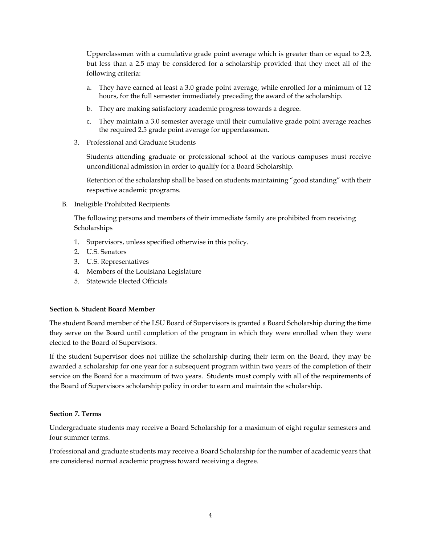Upperclassmen with a cumulative grade point average which is greater than or equal to 2.3, but less than a 2.5 may be considered for a scholarship provided that they meet all of the following criteria:

- a. They have earned at least a 3.0 grade point average, while enrolled for a minimum of 12 hours, for the full semester immediately preceding the award of the scholarship.
- b. They are making satisfactory academic progress towards a degree.
- c. They maintain a 3.0 semester average until their cumulative grade point average reaches the required 2.5 grade point average for upperclassmen.
- 3. Professional and Graduate Students

Students attending graduate or professional school at the various campuses must receive unconditional admission in order to qualify for a Board Scholarship.

Retention of the scholarship shall be based on students maintaining "good standing" with their respective academic programs.

B. Ineligible Prohibited Recipients

The following persons and members of their immediate family are prohibited from receiving **Scholarships** 

- 1. Supervisors, unless specified otherwise in this policy.
- 2. U.S. Senators
- 3. U.S. Representatives
- 4. Members of the Louisiana Legislature
- 5. Statewide Elected Officials

#### **Section 6. Student Board Member**

The student Board member of the LSU Board of Supervisors is granted a Board Scholarship during the time they serve on the Board until completion of the program in which they were enrolled when they were elected to the Board of Supervisors.

If the student Supervisor does not utilize the scholarship during their term on the Board, they may be awarded a scholarship for one year for a subsequent program within two years of the completion of their service on the Board for a maximum of two years. Students must comply with all of the requirements of the Board of Supervisors scholarship policy in order to earn and maintain the scholarship.

#### **Section 7. Terms**

Undergraduate students may receive a Board Scholarship for a maximum of eight regular semesters and four summer terms.

Professional and graduate students may receive a Board Scholarship for the number of academic years that are considered normal academic progress toward receiving a degree.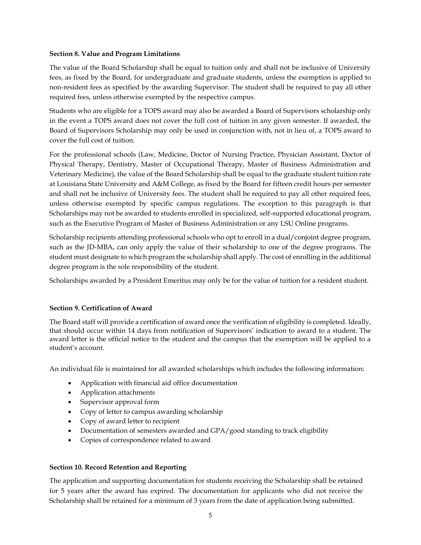#### **Section 8. Value and Program Limitations**

The value of the Board Scholarship shall be equal to tuition only and shall not be inclusive of University fees, as fixed by the Board, for undergraduate and graduate students, unless the exemption is applied to non-resident fees as specified by the awarding Supervisor. The student shall be required to pay all other required fees, unless otherwise exempted by the respective campus.

Students who are eligible for a TOPS award may also be awarded a Board of Supervisors scholarship only in the event a TOPS award does not cover the full cost of tuition in any given semester. If awarded, the Board of Supervisors Scholarship may only be used in conjunction with, not in lieu of, a TOPS award to cover the full cost of tuition.

For the professional schools (Law, Medicine, Doctor of Nursing Practice, Physician Assistant, Doctor of Physical Therapy, Dentistry, Master of Occupational Therapy, Master of Business Administration and Veterinary Medicine), the value of the Board Scholarship shall be equal to the graduate student tuition rate at Louisiana State University and A&M College, as fixed by the Board for fifteen credit hours per semester and shall not be inclusive of University fees. The student shall be required to pay all other required fees, unless otherwise exempted by specific campus regulations. The exception to this paragraph is that Scholarships may not be awarded to students enrolled in specialized, self-supported educational program, such as the Executive Program of Master of Business Administration or any LSU Online programs.

Scholarship recipients attending professional schools who opt to enroll in a dual/conjoint degree program, such as the JD-MBA, can only apply the value of their scholarship to one of the degree programs. The student must designate to which program the scholarship shall apply. The cost of enrolling in the additional degree program is the sole responsibility of the student.

Scholarships awarded by a President Emeritus may only be for the value of tuition for a resident student.

## **Section 9. Certification of Award**

The Board staff will provide a certification of award once the verification of eligibility is completed. Ideally, that should occur within 14 days from notification of Supervisors' indication to award to a student. The award letter is the official notice to the student and the campus that the exemption will be applied to a student's account.

An individual file is maintained for all awarded scholarships which includes the following information:

- Application with financial aid office documentation
- Application attachments
- Supervisor approval form
- Copy of letter to campus awarding scholarship
- Copy of award letter to recipient
- Documentation of semesters awarded and GPA/good standing to track eligibility
- Copies of correspondence related to award

## **Section 10. Record Retention and Reporting**

The application and supporting documentation for students receiving the Scholarship shall be retained for 5 years after the award has expired. The documentation for applicants who did not receive the Scholarship shall be retained for a minimum of 3 years from the date of application being submitted.